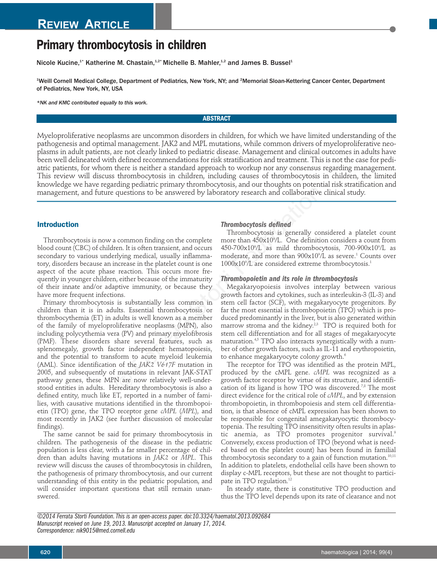# **REVIEW ARTICLE**

# **Primary thrombocytosis in children**

Nicole Kucine,<sup>1\*</sup> Katherine M. Chastain,<sup>1,2\*</sup> Michelle B. Mahler,<sup>1,2</sup> and James B. Bussel<sup>1</sup>

<sup>1</sup>Weill Cornell Medical College, Department of Pediatrics, New York, NY; and <sup>2</sup>Memorial Sloan-Kettering Cancer Center, Department of Pediatrics, New York, NY, USA

*\*NK and KMC contributed equally to this work.*

# **ABSTRACT**

Myeloproliferative neoplasms are uncommon disorders in children, for which we have limited understanding of the pathogenesis and optimal management. JAK2 and MPL mutations, while common drivers of myeloproliferative neoplasms in adult patients, are not clearly linked to pediatric disease. Management and clinical outcomes in adults have been well delineated with defined recommendations for risk stratification and treatment. This is not the case for pediatric patients, for whom there is neither a standard approach to workup nor any consensus regarding management. This review will discuss thrombocytosis in children, including causes of thrombocytosis in children, the limited knowledge we have regarding pediatric primary thrombocytosis, and our thoughts on potential risk stratification and management, and future questions to be answered by laboratory research and collaborative clinical study.

# **Introduction**

Thrombocytosis is now a common finding on the complete blood count (CBC) of children. It is often transient, and occurs secondary to various underlying medical, usually inflammatory, disorders because an increase in the platelet count is one aspect of the acute phase reaction. This occurs more frequently in younger children, either because of the immaturity of their innate and/or adaptive immunity, or because they have more frequent infections.

Primary thrombocytosis is substantially less common in children than it is in adults. Essential thrombocytosis or thrombocythemia (ET) in adults is well known as a member of the family of myeloproliferative neoplasms (MPN), also including polycythemia vera (PV) and primary myelofibrosis (PMF). These disorders share several features, such as splenomegaly, growth factor independent hematopoiesis, and the potential to transform to acute myeloid leukemia (AML). Since identification of the *JAK2 V617F* mutation in 2005, and subsequently of mutations in relevant JAK-STAT pathway genes, these MPN are now relatively well-understood entities in adults. Hereditary thrombocytosis is also a defined entity, much like ET, reported in a number of families, with causative mutations identified in the thrombopoietin (TPO) gene, the TPO receptor gene *cMPL* (*MPL*), and most recently in JAK2 (see further discussion of molecular findings). **Example 19 and Storting Maring Storting (Fig. 2018)**<br> **Example 2** (Intending on the complete constant of the answered by laboratory research and collaborative<br>
Thrombocytosis is generally conserved and  $\frac{1}{2}$  conserve

The same cannot be said for primary thrombocytosis in children. The pathogenesis of the disease in the pediatric population is less clear, with a far smaller percentage of children than adults having mutations in *JAK2* or *MPL*. This review will discuss the causes of thrombocytosis in children, the pathogenesis of primary thrombocytosis, and our current understanding of this entity in the pediatric population, and will consider important questions that still remain unanswered.

### *Thrombocytosis defined*

Thrombocytosis is generally considered a platelet count more than 450x109 /L. One definition considers a count from 450-700x109 /L as mild thrombocytosis, 700-900x109 /L as moderate, and more than 900x10°/L as severe. $^{\rm 1}$  Counts over 1000x109 /L are considered extreme thrombocytosis.1

# *Thrombopoietin and its role in thrombocytosis*

Megakaryopoiesis involves interplay between various growth factors and cytokines, such as interleukin-3 (IL-3) and stem cell factor (SCF), with megakaryocyte progenitors. By far the most essential is thrombopoietin (TPO) which is produced predominantly in the liver, but is also generated within marrow stroma and the kidney.<sup>2,3</sup> TPO is required both for stem cell differentiation and for all stages of megakaryocyte maturation.4,5 TPO also interacts synergistically with a number of other growth factors, such as IL-11 and erythropoietin, to enhance megakaryocyte colony growth.<sup>6</sup>

The receptor for TPO was identified as the protein MPL, produced by the cMPL gene. *cMPL* was recognized as a growth factor receptor by virtue of its structure, and identification of its ligand is how TPO was discovered.<sup>7,8</sup> The most direct evidence for the critical role of *cMPL*, and by extension thrombopoietin, in thrombopoiesis and stem cell differentiation, is that absence of cMPL expression has been shown to be responsible for congenital amegakaryocytic thrombocytopenia. The resulting TPO insensitivity often results in aplastic anemia, as TPO promotes progenitor survival.<sup>9</sup> Conversely, excess production of TPO (beyond what is needed based on the platelet count) has been found in familial thrombocytosis secondary to a gain of function mutation.<sup>10,11</sup> In addition to platelets, endothelial cells have been shown to display c-MPL receptors, but these are not thought to participate in TPO regulation.<sup>12</sup>

In steady state, there is constitutive TPO production and thus the TPO level depends upon its rate of clearance and not

*<sup>©2014</sup> Ferrata Storti Foundation. This is an open-access paper. doi:10.3324/haematol.2013.092684 Manuscript received on June 19, 2013. Manuscript accepted on January 17, 2014. Correspondence: nik9015@med.cornell.edu*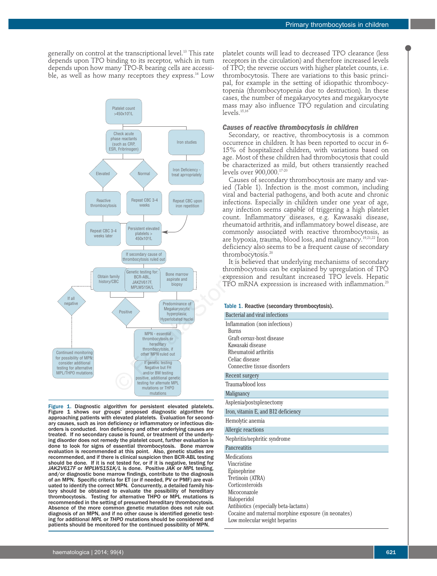generally on control at the transcriptional level.<sup>13</sup> This rate depends upon TPO binding to its receptor, which in turn depends upon how many TPO-R bearing cells are accessible, as well as how many receptors they express.<sup>14</sup> Low



Figure 1. Diagnostic algorithm for persistent elevated platelets. Figure 1 shows our groups' proposed diagnostic algorithm for approaching patients with elevated platelets. Evaluation for secondary causes, such as iron deficiency or inflammatory or infectious disorders is conducted. Iron deficiency and other underlying causes are treated. If no secondary cause is found, or treatment of the underlying disorder does not remedy the platelet count, further evaluation is done to look for signs of essential thrombocytosis. Bone marrow evaluation is recommended at this point. Also, genetic studies are recommended, and if there is clinical suspicion then BCR-ABL testing should be done. If it is not tested for, or if it is negative, testing for *JAK2V617F* or *MPLW5151K/L* is done. Positive *JAK* or *MPL* testing, and/or diagnostic bone marrow findings, contribute to the diagnosis of an MPN. Specific criteria for ET (or if needed, PV or PMF) are evaluated to identify the correct MPN. Concurrently, a detailed family history should be obtained to evaluate the possibility of hereditary thrombocytosis. Testing for alternative THPO or MPL mutations is recommended in the setting of presumed hereditary thrombocytosis. Absence of the more common genetic mutation does not rule out diagnosis of an MPN, and if no other cause is identified genetic testing for additional *MPL* or *THPO* mutations should be considered and patients should be monitored for the continued possibility of MPN.

platelet counts will lead to decreased TPO clearance (less receptors in the circulation) and therefore increased levels of TPO; the reverse occurs with higher platelet counts, i.e. thrombocytosis. There are variations to this basic principal, for example in the setting of idiopathic thrombocytopenia (thrombocytopenia due to destruction). In these cases, the number of megakaryocytes and megakaryocyte mass may also influence TPO regulation and circulating levels.15,16

## *Causes of reactive thrombocytosis in children*

Secondary, or reactive, thrombocytosis is a common occurrence in children. It has been reported to occur in 6- 15% of hospitalized children, with variations based on age. Most of these children had thrombocytosis that could be characterized as mild, but others transiently reached levels over 900,000.17-20

Causes of secondary thrombocytosis are many and varied (Table 1). Infection is the most common, including viral and bacterial pathogens, and both acute and chronic infections. Especially in children under one year of age, any infection seems capable of triggering a high platelet count. Inflammatory diseases, e.g. Kawasaki disease, rheumatoid arthritis, and inflammatory bowel disease, are commonly associated with reactive thrombocytosis, as are hypoxia, trauma, blood loss, and malignancy.<sup>19,21,22</sup> Iron deficiency also seems to be a frequent cause of secondary thrombocytosis.<sup>20</sup>

It is believed that underlying mechanisms of secondary thrombocytosis can be explained by upregulation of TPO expression and resultant increased TPO levels. Hepatic TPO mRNA expression is increased with inflammation.<sup>23</sup>

### Table 1. Reactive (secondary thrombocytosis).

| Bacterial and viral infections                         |  |
|--------------------------------------------------------|--|
| Inflammation (non infectious)<br><b>Burns</b>          |  |
| Graft- <i>versus</i> -host disease<br>Kawasaki disease |  |
| Rheumatoid arthritis                                   |  |
| Celiac disease                                         |  |
| Connective tissue disorders                            |  |
| Recent surgery                                         |  |
| Trauma/blood loss                                      |  |
| Malignancy                                             |  |
| Asplenia/postsplenectomy                               |  |
| Iron, vitamin E, and B12 deficiency                    |  |
| Hemolytic anemia                                       |  |
| Allergic reactions                                     |  |
| Nephritis/nephritic syndrome                           |  |
| Pancreatitis                                           |  |
| <b>Medications</b>                                     |  |
| Vincristine                                            |  |
| Epinephrine                                            |  |
| Tretinoin (ATRA)<br>Corticosteroids                    |  |
| Micoconazole                                           |  |
| Haloperidol                                            |  |
| Antibiotics (especially beta-lactams)                  |  |
| Cocaine and maternal morphine exposure (in neonates)   |  |
| Low molecular weight heparins                          |  |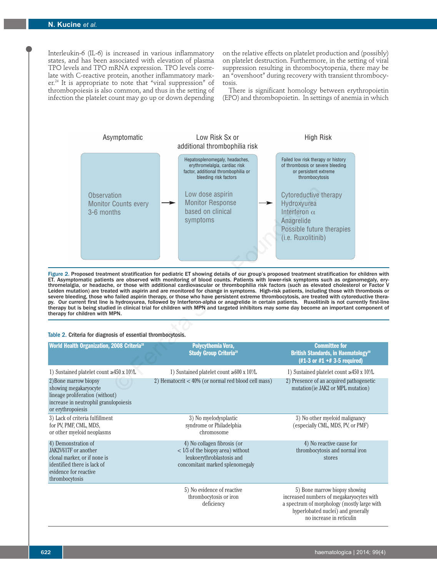Interleukin-6 (IL-6) is increased in various inflammatory states, and has been associated with elevation of plasma TPO levels and TPO mRNA expression. TPO levels correlate with C-reactive protein, another inflammatory marker.<sup>24</sup> It is appropriate to note that "viral suppression" of thrombopoiesis is also common, and thus in the setting of infection the platelet count may go up or down depending on the relative effects on platelet production and (possibly) on platelet destruction. Furthermore, in the setting of viral suppression resulting in thrombocytopenia, there may be an "overshoot" during recovery with transient thrombocytosis.

There is significant homology between erythropoietin (EPO) and thrombopoietin. In settings of anemia in which



Figure 2. Proposed treatment stratification for pediatric ET showing details of our group's proposed treatment stratification for children with ET. Asymptomatic patients are observed with monitoring of blood counts. Patients with lower-risk symptoms such as organomegaly, erythromelalgia, or headache, or those with additional cardiovascular or thrombophilia risk factors (such as elevated cholesterol or Factor V Leiden mutation) are treated with aspirin and are monitored for change in symptoms. High-risk patients, including those with thrombosis or severe bleeding, those who failed aspirin therapy, or those who have persistent extreme thrombocytosis, are treated with cytoreductive therapy. Our current first line is hydroxyurea, followed by Interferon-alpha or anagrelide in certain patients. Ruxolitinib is not currently first-line therapy but is being studied in clinical trial for children with MPN and targeted inhibitors may some day become an important component of therapy for children with MPN.

# Table 2. Criteria for diagnosis of essential thrombocytosis.

| <b>World Health Organization, 2008 Criteria</b> <sup>28</sup>                                                                                   | Polycythemia Vera,<br><b>Study Group Criteria<sup>29</sup></b>                                  | <b>Committee for</b><br><b>British Standards, in Haematology</b> <sup>30</sup><br>$(H1-3)$ or #1 +# 3-5 required)                                                                          |  |  |
|-------------------------------------------------------------------------------------------------------------------------------------------------|-------------------------------------------------------------------------------------------------|--------------------------------------------------------------------------------------------------------------------------------------------------------------------------------------------|--|--|
| 1) Sustained platelet count $\geq 450 \times 10^{9}/L$                                                                                          | 1) Sustained platelet count $\geq 600 \times 10^9$ /L                                           | 1) Sustained platelet count $\geq 450$ x 10 <sup>9</sup> /L                                                                                                                                |  |  |
| 2) Bone marrow biopsy<br>showing megakaryocyte<br>lineage proliferation (without)<br>increase in neutrophil granulopoiesis<br>or erythropoiesis | 2) Hematocrit < 40% (or normal red blood cell mass)                                             | 2) Presence of an acquired pathogenetic<br>mutation (ie JAK2 or MPL mutation)                                                                                                              |  |  |
| 3) Lack of criteria fulfillment<br>for PV, PMF, CML, MDS,<br>or other myeloid neoplasms                                                         | 3) No myelodysplastic<br>syndrome or Philadelphia<br>chromosome                                 | 3) No other myeloid malignancy<br>(especially CML, MDS, PV, or PMF)                                                                                                                        |  |  |
| 4) Demonstration of<br>JAK2V617F or another<br>clonal marker, or if none is                                                                     | 4) No collagen fibrosis (or<br>$<$ 1/3 of the biopsy area) without<br>leukoerythroblastosis and | 4) No reactive cause for<br>thrombocytosis and normal iron<br>stores                                                                                                                       |  |  |
| identified there is lack of<br>evidence for reactive<br>thrombocytosis                                                                          | concomitant marked splenomegaly                                                                 |                                                                                                                                                                                            |  |  |
|                                                                                                                                                 | 5) No evidence of reactive<br>thrombocytosis or iron<br>deficiency                              | 5) Bone marrow biopsy showing<br>increased numbers of megakaryocytes with<br>a spectrum of morphology (mostly large with<br>hyperlobated nuclei) and generally<br>no increase in reticulin |  |  |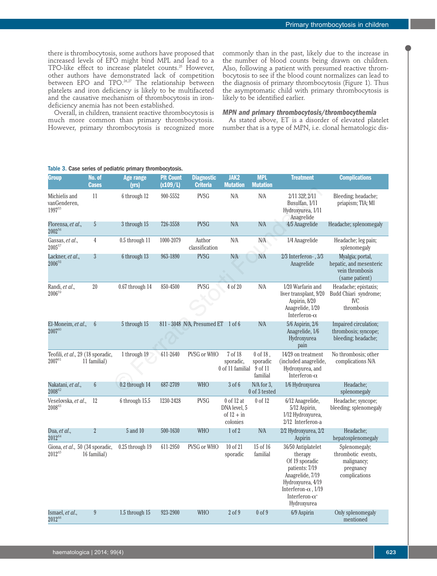there is thrombocytosis, some authors have proposed that increased levels of EPO might bind MPL and lead to a TPO-like effect to increase platelet counts.<sup>25</sup> However, other authors have demonstrated lack of competition between EPO and TPO.<sup>26,27</sup> The relationship between platelets and iron deficiency is likely to be multifaceted and the causative mechanism of thrombocytosis in irondeficiency anemia has not been established.

Overall, in children, transient reactive thrombocytosis is much more common than primary thrombocytosis. However, primary thrombocytosis is recognized more

commonly than in the past, likely due to the increase in the number of blood counts being drawn on children. Also, following a patient with presumed reactive thrombocytosis to see if the blood count normalizes can lead to the diagnosis of primary thrombocytosis (Figure 1). Thus the asymptomatic child with primary thrombocytosis is likely to be identified earlier.

# *MPN and primary thrombocytosis/thrombocythemia*

As stated above, ET is a disorder of elevated platelet number that is a type of MPN, i.e. clonal hematologic dis-

| <b>Group</b>                                     | No. of<br><b>Cases</b> | Age range<br>(yrs) | <b>PIt Count</b><br>(x109/L) | <b>Diagnostic</b><br><b>Criteria</b> | <b>JAK2</b><br><b>Mutation</b>                           | <b>MPL</b><br><b>Mutation</b>         | <b>Treatment</b>                                                                                                                                                                   | <b>Complications</b>                                                             |
|--------------------------------------------------|------------------------|--------------------|------------------------------|--------------------------------------|----------------------------------------------------------|---------------------------------------|------------------------------------------------------------------------------------------------------------------------------------------------------------------------------------|----------------------------------------------------------------------------------|
| Michielis and<br>vanGenderen,<br>199755          | 11                     | 6 through 12       | 900-5552                     | <b>PVSG</b>                          | N/A                                                      | N/A                                   | 2/11 32P, 2/11<br>Busulfan, 1/11<br>Hydroxyurea, 1/11<br>Anagrelide                                                                                                                | Bleeding; headache;<br>priapism; TIA; MI                                         |
| Florensa, et al.,<br>200256                      | $\sqrt{5}$             | 3 through 15       | 726-3558                     | <b>PVSG</b>                          | N/A                                                      | N/A                                   | 4/5 Anagrelide                                                                                                                                                                     | Headache; splenomegaly                                                           |
| Gassas, et al.,<br>200557                        | $\overline{4}$         | 0.5 through 11     | 1000-2079                    | Author<br>classification             | N/A                                                      | N/A                                   | 1/4 Anagrelide                                                                                                                                                                     | Headache; leg pain;<br>splenomegaly                                              |
| Lackner, et al.,<br>200658                       | $\sqrt{3}$             | 6 through 13       | 963-1890                     | <b>PVSG</b>                          | N/A                                                      | N/A                                   | 2/3 Interferon-, 3/3<br>Anagrelide                                                                                                                                                 | Myalgia; portal,<br>hepatic, and mesenteric<br>vein thrombosis<br>(same patient) |
| Randi, <i>et al</i> .,<br>200659                 | 20                     | 0.67 through 14    | 850-4500                     | <b>PVSG</b>                          | 4 of 20                                                  | N/A                                   | 1/20 Warfarin and<br>liver transplant, 9/20<br>Aspirin, 8/20<br>Anagrelide, 1/20<br>Interferon- $\alpha$                                                                           | Headache; epistaxis;<br>Budd Chiari syndrome;<br><b>IVC</b><br>thrombosis        |
| El-Moneim, et al.,<br>200760                     | $\boldsymbol{6}$       | 5 through 15       |                              | 811 - 3048 N/A, Presumed ET          | $1$ of $6$                                               | N/A                                   | $5/6$ Aspirin, $2/6$<br>Anagrelide, 1/6<br>Hydroxyurea<br>pain                                                                                                                     | Impaired circulation;<br>thrombosis; syncope;<br>bleeding; headache;             |
| Teofili, et al., 29 (18 sporadic,<br>$2007^{61}$ | 11 familial)           | 1 through 19       | 611-2640                     | PVSG or WHO                          | 7 of 18<br>sporadic,<br>0 of 11 familial 9 of 11         | $0$ of $18$ ,<br>sporadic<br>familial | 14/29 on treatment<br>(included anagrelide,<br>Hydroxyurea, and<br>Interferon- $\alpha$                                                                                            | No thrombosis; other<br>complications N/A                                        |
| Nakatani, <i>et al</i> .,<br>$2008^{62}$         | $\boldsymbol{6}$       | 0.2 through 14     | 687-2709                     | <b>WHO</b>                           | $3$ of $6$                                               | $N/A$ for 3,<br>0 of 3 tested         | 1/6 Hydroxyurea                                                                                                                                                                    | Headache:<br>splenomegaly                                                        |
| Veselovska, <i>et al</i> .,<br>200863            | 12                     | 6 through 15.5     | 1230-2428                    | <b>PVSG</b>                          | $0$ of 12 at<br>DNA level, 5<br>of $12 + in$<br>colonies | 0 of 12                               | 6/12 Anagrelide,<br>5/12 Aspirin,<br>1/12 Hydroxyurea,<br>2/12 Interferon-a                                                                                                        | Headache; syncope;<br>bleeding; splenomegaly                                     |
| Dua, et al.,<br>201264                           | $\overline{2}$         | 5 and 10           | 500-1630                     | <b>WHO</b>                           | 1 of 2                                                   | N/A                                   | 2/2 Hydroxyurea, 2/2<br>Aspirin                                                                                                                                                    | Headache;<br>hepatosplenomegaly                                                  |
| Giona, et al., 50 (34 sporadic,<br>201265        | 16 familial)           | 0.25 through 19    | 611-2950                     | PVSG or WHO                          | 10 of 21<br>sporadic                                     | 15 of 16<br>familial                  | 36/50 Antiplatelet<br>therapy<br>Of 19 sporadic<br>patients: 7/19<br>Anagrelide, 7/19<br>Hydroxyurea, 4/19<br>Interferon- $\alpha$ , 1/19<br>Interferon- $\alpha^*$<br>Hydroxyurea | Splenomegaly;<br>thrombotic events,<br>malignancy;<br>pregnancy<br>complications |
| Ismael, <i>et al.</i> ,<br>201266                | 9                      | 1.5 through 15     | 923-2900                     | <b>WHO</b>                           | $2$ of $9$                                               | $0$ of $9$                            | 6/9 Aspirin                                                                                                                                                                        | Only splenomegaly<br>mentioned                                                   |

## Table 3. Case series of pediatric primary thrombocytosis.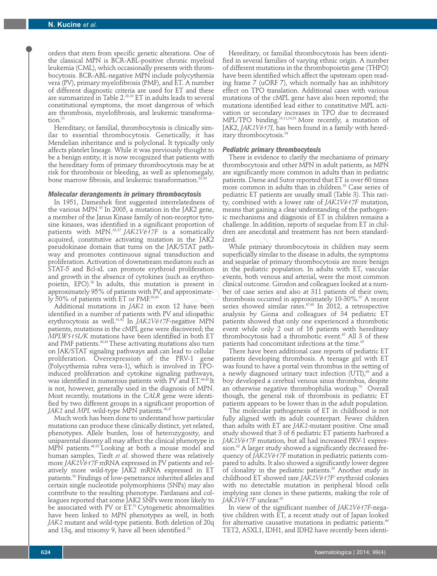orders that stem from specific genetic alterations. One of the classical MPN is BCR-ABL-positive chronic myeloid leukemia (CML), which occasionally presents with thrombocytosis. BCR-ABL-negative MPN include polycythemia vera (PV), primary myelofibrosis (PMF), and ET. A number of different diagnostic criteria are used for ET and these are summarized in Table 2.28-30 ET in adults leads to several constitutional symptoms, the most dangerous of which are thrombosis, myelofibrosis, and leukemic transformation.<sup>31</sup>

Hereditary, or familial, thrombocytosis is clinically similar to essential thrombocytosis. Genetically, it has Mendelian inheritance and is polyclonal. It typically only affects platelet lineage. While it was previously thought to be a benign entity, it is now recognized that patients with the hereditary form of primary thrombocytosis may be at risk for thrombosis or bleeding, as well as splenomegaly, bone marrow fibrosis, and leukemic transformation.<sup>32</sup>

#### *Molecular derangements in primary thrombocytosis*

In 1951, Dameshek first suggested interrelatedness of the various MPN.<sup>35</sup> In 2005, a mutation in the JAK2 gene, a member of the Janus Kinase family of non-receptor tyrosine kinases, was identified in a significant proportion of patients with MPN.<sup>36,37</sup> *JAK2V617F* is a somatically acquired, constitutive activating mutation in the JAK2 pseudokinase domain that turns on the JAK/STAT pathway and promotes continuous signal transduction and proliferation. Activation of downstream mediators such as STAT-5 and Bcl-xL can promote erythroid proliferation and growth in the absence of cytokines (such as erythropoietin, EPO).<sup>38</sup> In adults, this mutation is present in approximately 95% of patients with PV, and approximately 50% of patients with ET or PMF.<sup>39,40</sup> **mts in primary thrombocytosis** por<br>
more common madults than in ct<br>
flust stan in the JAK2 gene, means that game and the same standing<br>
flust standing in the JAK2 gene, means that gaining a decay understate<br>
Xinase famil

Additional mutations in *JAK2* in exon 12 have been identified in a number of patients with PV and idiopathic erythrocytosis as well.41,42 In *JAK2V617F*-negative MPN patients, mutations in the cMPL gene were discovered; the *MPLW515L/K* mutations have been identified in both ET and PMF patients.<sup>40,43</sup> These activating mutations also turn on JAK/STAT signaling pathways and can lead to cellular proliferation. Overexpression of the PRV-1 gene (Polycythemia rubra vera-1), which is involved in TPOinduced proliferation and cytokine signaling pathways, was identified in numerous patients with PV and ET.44,45 It is not, however, generally used in the diagnosis of MPN. Most recently, mutations in the *CALR* gene were identified by two different groups in a significant proportion of *JAK2* and *MPL* wild-type MPN patients.46,47

Much work has been done to understand how particular mutations can produce these clinically distinct, yet related, phenotypes. Allele burden, loss of heterozygosity, and uniparental disomy all may affect the clinical phenotype in MPN patients.48-50 Looking at both a mouse model and human samples, Tiedt *et al*. showed there was relatively more *JAK2V617F* mRNA expressed in PV patients and relatively more wild-type JAK2 mRNA expressed in ET patients.50 Findings of low-penetrance inherited alleles and certain single nucleotide polymorphisms (SNPs) may also contribute to the resulting phenotype. Pardanani and colleagues reported that some JAK2 SNPs were more likely to be associated with PV or ET.<sup>51</sup> Cytogenetic abnormalities have been linked to MPN phenotypes as well, in both *JAK2* mutant and wild-type patients. Both deletion of 20q and 13q, and trisomy 9, have all been identified.<sup>52</sup>

Hereditary, or familial thrombocytosis has been identified in several families of varying ethnic origin. A number of different mutations in the thrombopoietin gene (THPO) have been identified which affect the upstream open reading frame 7 (uORF 7), which normally has an inhibitory effect on TPO translation. Additional cases with various mutations of the cMPL gene have also been reported; the mutations identified lead either to constitutive MPL activation or secondary increases in TPO due to decreased MPL/TPO binding.10,11,34,53 More recently, a mutation of JAK2, *JAK2V617I*, has been found in a family with hereditary thrombocytosis.54

#### *Pediatric primary thrombocytosis*

There is evidence to clarify the mechanisms of primary thrombocytosis and other MPN in adult patients, as MPN are significantly more common in adults than in pediatric patients. Dame and Sutor reported that ET is over 60 times more common in adults than in children.<sup>18</sup> Case series of pediatric ET patients are usually small (Table 3). This rarity, combined with a lower rate of *JAK2V617F* mutation, means that gaining a clear understanding of the pathogenic mechanisms and diagnosis of ET in children remains a challenge. In addition, reports of sequelae from ET in children are anecdotal and treatment has not been standardized.

While primary thrombocytosis in children may seem superficially similar to the disease in adults, the symptoms and sequelae of primary thrombocytosis are more benign in the pediatric population. In adults with ET, vascular events, both venous and arterial, were the most common clinical outcome. Girodon and colleagues looked at a number of case series and also at 311 patients of their own; thrombosis occurred in approximately 10-30%.<sup> $\sigma$ </sup> A recent series showed similar rates. $67,68$  In 2012, a retrospective analysis by Giona and colleagues of 34 pediatric ET patients showed that only one experienced a thrombotic event while only 2 out of 16 patients with hereditary thrombocytosis had a thrombotic event.<sup>65</sup> All 3 of these patients had concomitant infections at the time.<sup>65</sup>

There have been additional case reports of pediatric ET patients developing thrombosis. A teenage girl with ET was found to have a portal vein thrombus in the setting of a newly diagnosed urinary tract infection  $(UTI),<sup>69</sup>$  and a boy developed a cerebral venous sinus thrombus, despite an otherwise negative thrombophilia workup.<sup>70</sup> Overall though, the general risk of thrombosis in pediatric ET patients appears to be lower than in the adult population.

The molecular pathogenesis of ET in childhood is not fully aligned with its adult counterpart. Fewer children than adults with ET are *JAK2*-mutant positive. One small study showed that 3 of 6 pediatric ET patients harbored a *JAK2V617F* mutation, but all had increased PRV-1 expression.<sup>62</sup> A larger study showed a significantly decreased frequency of *JAK2V617F* mutation in pediatric patients compared to adults. It also showed a significantly lower degree of clonality in the pediatric patients.<sup>59</sup> Another study in childhood ET showed rare *JAK2V617F+* erythroid colonies with no detectable mutation in peripheral blood cells implying rare clones in these patients, making the role of *JAK2V617F* unclear.<sup>63</sup>

In view of the significant number of *JAK2V617F*-negative children with ET, a recent study out of Japan looked for alternative causative mutations in pediatric patients.<sup>66</sup> TET2, ASXL1, IDH1, and IDH2 have recently been identi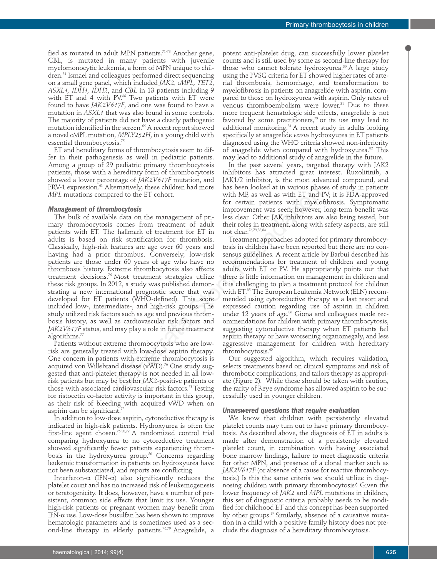fied as mutated in adult MPN patients.<sup>71-73</sup> Another gene, CBL, is mutated in many patients with juvenile myelomonocytic leukemia, a form of MPN unique to children.74 Ismael and colleagues performed direct sequencing on a small gene panel, which included *JAK2, cMPL, TET2*, *ASXL1, IDH1, IDH2*, and *CBL* in 13 patients including 9 with ET and 4 with PV.<sup>66</sup> Two patients with ET were found to have *JAK2V617F*, and one was found to have a mutation in *ASXL1* that was also found in some controls. The majority of patients did not have a clearly pathogenic mutation identified in the screen.<sup>66</sup> A recent report showed a novel cMPL mutation, *MPLY252H*, in a young child with essential thrombocytosis.<sup>75</sup>

ET and hereditary forms of thrombocytosis seem to differ in their pathogenesis as well in pediatric patients. Among a group of 29 pediatric primary thrombocytosis patients, those with a hereditary form of thrombocytosis showed a lower percentage of *JAK2V617F* mutation, and PRV-1 expression.<sup>61</sup> Alternatively, these children had more *MPL* mutations compared to the ET cohort.

# *Management of thrombocytosis*

The bulk of available data on the management of primary thrombocytosis comes from treatment of adult patients with ET. The hallmark of treatment for ET in adults is based on risk stratification for thrombosis. Classically, high-risk features are age over 60 years and having had a prior thrombus. Conversely, low-risk patients are those under 60 years of age who have no thrombosis history. Extreme thrombocytosis also affects treatment decisions.76 Most treatment strategies utilize these risk groups. In 2012, a study was published demonstrating a new international prognostic score that was developed for ET patients (WHO-defined). This score included low-, intermediate-, and high-risk groups. The study utilized risk factors such as age and previous thrombosis history, as well as cardiovascular risk factors and *JAK2V617F* status, and may play a role in future treatment algorithms.77 rematurely, these change many has been looked at n vantous phass<br>
aread to the ET cohort. With MF, as well as with ET and<br> **hocytosis** for certain patients with myelomore and to the ET cohort. The section of the section o

Patients without extreme thrombocytosis who are lowrisk are generally treated with low-dose aspirin therapy. One concern in patients with extreme thrombocytosis is acquired von Willebrand disease (vWD).<sup>76</sup> One study suggested that anti-platelet therapy is not needed in all lowrisk patients but may be best for *JAK2*-positive patients or those with associated cardiovascular risk factors.78 Testing for ristocetin co-factor activity is important in this group, as their risk of bleeding with acquired vWD when on aspirin can be significant.<sup>7</sup>

In addition to low-dose aspirin, cytoreductive therapy is indicated in high-risk patients. Hydroxyurea is often the first-line agent chosen.76,30,79 A randomized control trial comparing hydroxyurea to no cytoreductive treatment showed significantly fewer patients experiencing thrombosis in the hydroxyurea group.<sup>80</sup> Concerns regarding leukemic transformation in patients on hydroxyurea have not been substantiated, and reports are conflicting.

Interferon- $\alpha$  (IFN- $\alpha$ ) also significantly reduces the platelet count and has no increased risk of leukemogenesis or teratogenicity. It does, however, have a number of persistent, common side effects that limit its use. Younger high-risk patients or pregnant women may benefit from IFN- $\alpha$  use. Low-dose busulfan has been shown to improve hematologic parameters and is sometimes used as a second-line therapy in elderly patients.<sup>76,79</sup> Anagrelide, a

potent anti-platelet drug, can successfully lower platelet counts and is still used by some as second-line therapy for those who cannot tolerate hydroxyurea.<sup>30</sup> A large study using the PVSG criteria for ET showed higher rates of arterial thrombosis, hemorrhage, and transformation to myelofibrosis in patients on anagrelide with aspirin, compared to those on hydroxyurea with aspirin. Only rates of venous thromboembolism were lower.<sup>81</sup> Due to these more frequent hematologic side effects, anagrelide is not favored by some practitioners, $79$  or its use may lead to additional monitoring.<sup>81</sup> A recent study in adults looking specifically at anagrelide *versus* hydroxyurea in ET patients diagnosed using the WHO criteria showed non-inferiority of anagrelide when compared with hydroxyurea.<sup>82</sup> This may lead to additional study of anagrelide in the future.

In the past several years, targeted therapy with JAK2 inhibitors has attracted great interest. Ruxolitinib, a JAK1/2 inhibitor, is the most advanced compound, and has been looked at in various phases of study in patients with MF, as well as with ET and PV; it is FDA-approved for certain patients with myelofibrosis. Symptomatic improvement was seen; however, long-term benefit was less clear. Other JAK inhibitors are also being tested, but their roles in treatment, along with safety aspects, are still not clear.76,79,83,84

Treatment approaches adopted for primary thrombocytosis in children have been reported but there are no consensus guidelines. A recent article by Barbui described his recommendations for treatment of children and young adults with ET or PV. He appropriately points out that there is little information on management in children and it is challenging to plan a treatment protocol for children with ET.<sup>85</sup> The European Leukemia Network (ELN) recommended using cytoreductive therapy as a last resort and expressed caution regarding use of aspirin in children under 12 years of age.<sup>86</sup> Giona and colleagues made recommendations for children with primary thrombocytosis, suggesting cytoreductive therapy when ET patients fail aspirin therapy or have worsening organomegaly, and less aggressive management for children with hereditary thrombocytosis.<sup>65</sup>

Our suggested algorithm, which requires validation, selects treatments based on clinical symptoms and risk of thrombotic complications, and tailors therapy as appropriate (Figure 2). While these should be taken with caution, the rarity of Reye syndrome has allowed aspirin to be successfully used in younger children.

## *Unanswered questions that require evaluation*

We know that children with persistently elevated platelet counts may turn out to have primary thrombocytosis. As described above, the diagnosis of ET in adults is made after demonstration of a persistently elevated platelet count, in combination with having associated bone marrow findings, failure to meet diagnostic criteria for other MPN, and presence of a clonal marker such as *JAK2V617F* (or absence of a cause for reactive thrombocytosis.) Is this the same criteria we should utilize in diagnosing children with primary thrombocytosis? Given the lower frequency of *JAK2* and *MPL* mutations in children, this set of diagnostic criteria probably needs to be modified for childhood ET and this concept has been supported by other groups.<sup>87</sup> Similarly, absence of a causative mutation in a child with a positive family history does not preclude the diagnosis of a hereditary thrombocytosis.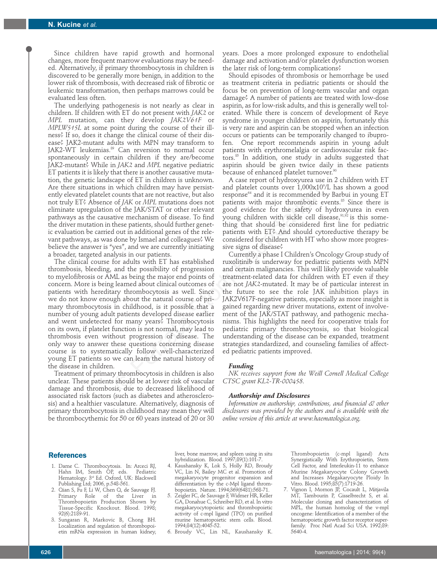Since children have rapid growth and hormonal changes, more frequent marrow evaluations may be needed. Alternatively, if primary thrombocytosis in children is discovered to be generally more benign, in addition to the lower risk of thrombosis, with decreased risk of fibrotic or leukemic transformation, then perhaps marrows could be evaluated less often.

The underlying pathogenesis is not nearly as clear in children. If children with ET do not present with *JAK2* or *MPL* mutation, can they develop *JAK2V61F* or *MPLW515L* at some point during the course of their illness? If so, does it change the clinical course of their disease? JAK2-mutant adults with MPN may transform to JAK2-WT leukemias.<sup>89</sup> Can reversion to normal occur spontaneously in certain children if they are/become JAK2-mutant? While in *JAK2* and *MPL* negative pediatric ET patients it is likely that there is another causative mutation, the genetic landscape of ET in children is unknown. Are there situations in which children may have persistently elevated platelet counts that are not reactive, but also not truly ET? Absence of *JAK* or *MPL* mutations does not eliminate upregulation of the JAK/STAT or other relevant pathways as the causative mechanism of disease. To find the driver mutation in these patients, should further genetic evaluation be carried out in additional genes of the relevant pathways, as was done by Ismael and colleagues? We believe the answer is "yes", and we are currently initiating a broader, targeted analysis in our patients.

The clinical course for adults with ET has established thrombosis, bleeding, and the possibility of progression to myelofibrosis or AML as being the major end points of concern. More is being learned about clinical outcomes of patients with hereditary thrombocytosis as well. Since we do not know enough about the natural course of primary thrombocytosis in childhood, is it possible that a number of young adult patients developed disease earlier and went undetected for many years? Thrombocytosis on its own, if platelet function is not normal, may lead to thrombosis even without progression of disease. The only way to answer these questions concerning disease course is to systematically follow well-characterized young ET patients so we can learn the natural history of the disease in children. which childrem hay have persist-<br>and pattere counts of  $I$ , tower the commended of  $JAK$  or the patter counts of the JAK/STAT or other relevant good evidence for the safety of the considered of  $JAK$  or  $MPL$  mutations does

Treatment of primary thrombocytosis in children is also unclear. These patients should be at lower risk of vascular damage and thrombosis, due to decreased likelihood of associated risk factors (such as diabetes and atherosclerosis) and a healthier vasculature. Alternatively, diagnosis of primary thrombocytosis in childhood may mean they will be thrombocythemic for 50 or 60 years instead of 20 or 30

years. Does a more prolonged exposure to endothelial damage and activation and/or platelet dysfunction worsen the later risk of long-term complications?

Should episodes of thrombosis or hemorrhage be used as treatment criteria in pediatric patients or should the focus be on prevention of long-term vascular and organ damage? A number of patients are treated with low-dose aspirin, as for low-risk adults, and this is generally well tolerated. While there is concern of development of Reye syndrome in younger children on aspirin, fortunately this is very rare and aspirin can be stopped when an infection occurs or patients can be temporarily changed to ibuprofen. One report recommends aspirin in young adult patients with erythromelalgia or cardiovascular risk factors.85 In addition, one study in adults suggested that aspirin should be given twice daily in these patients because of enhanced platelet turnover.

A case report of hydroxyurea use in 2 children with ET and platelet counts over 1,000x109 /L has shown a good response<sup>64</sup> and it is recommended by Barbui in young ET patients with major thrombotic events.<sup>85</sup> Since there is good evidence for the safety of hydroxyurea in even young children with sickle cell disease, $91,92$  is this something that should be considered first line for pediatric patients with ET? And should cytoreductive therapy be considered for children with HT who show more progressive signs of disease?

Currently a phase I Children's Oncology Group study of ruxolitinib is underway for pediatric patients with MPN and certain malignancies. This will likely provide valuable treatment-related data for children with ET even if they are not *JAK2*-mutated. It may be of particular interest in the future to see the role JAK inhibition plays in JAK2V617F-negative patients, especially as more insight is gained regarding new driver mutations, extent of involvement of the JAK/STAT pathway, and pathogenic mechanisms. This highlights the need for cooperative trials for pediatric primary thrombocytosis, so that biological understanding of the disease can be expanded, treatment strategies standardized, and counseling families of affected pediatric patients improved.

#### *Funding*

*NK receives support from the Weill Cornell Medical College CTSC grant KL2-TR-000458.*

#### *Authorship and Disclosures*

*Information on authorship, contributions, and financial & other disclosures was provided by the authors and is available with the online version of this article at www.haematologica.org.*

#### **References**

- 1. Dame C. Thrombocytosis. In: Arceci RJ, Hahn IM, Smith OP, eds. Hematology. 3rd Ed. Oxford, UK: Blackwell Publishing Ltd; 2006, p.548-561.
- 2. Qian S, Fu F, Li W, Chen Q, de Sauvage FJ.<br>Primary Role of the Liver in Primary Role of the Liver in Thrombopoietin Production Shown by Tissue-Specific Knockout. Blood. 1998; 92(6):2189-91.
- 3. Sungaran R, Markovic B, Chong BH. Localization and regulation of thrombopoietin mRNa expression in human kidney,

liver, bone marrow, and spleen using in situ hybridization. Blood. 1997;89(1):101-7.

- 4. Kaushansky K, Lok S, Holly RD, Broudy VC, Lin N, Bailey MC et al. Promotion of megakaryocyte progenitor expansion and differentiation by the c-Mpl ligand thrombopoietin. Nature. 1994;369(6481):568-71.
- 5. Zeigler FC, de Sauvage F, Widmer HR, Keller GA, Donahue C, Schreiber RD, et al. In vitro megakaryocytopoietic and thrombopoietic activity of c-mpl ligand (TPO) on purified murine hematopoietic stem cells. Blood. 1994;84(12):4045-52.
- 6. Broudy VC, Lin NL, Kaushansky K.

Thrombopoietin (c-mpl ligand) Acts Synergistically With Erythropoietin, Stem Cell Factor, and Interleukin-11 to enhance Murine Megakaryocyte Colony Growth and Increases Megakaryocyte Ploidy In Vitro. Blood. 1995;85(7):1719-26.

7. Vignon I, Mornon JP, Cocault L, Mitjavila MT, Tambourin P, Gisselbrecht S, et al. Molecular cloning and characterization of MPL, the human homolog of the v-mpl oncogene: Identification of a member of the hematopoietic growth factor receptor superfamily. Proc Natl Acad Sci USA. 1992;89: 5640-4.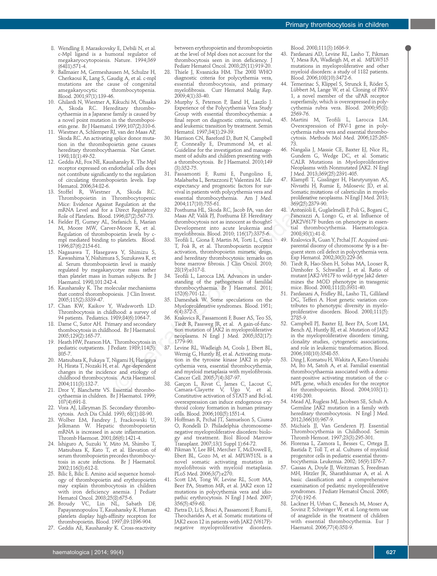- 8. Wendling F, Maraskovsky E, Debili N, et al. c-Mpl ligand is a humoral regulator of megakaryocytopoiesis. Nature. 1994;369 (6481):571-4.
- 9. Ballmaier M, Germeshausen M, Schulze H, Cherkaoui K, Lang S, Gaudig A, et al. c-mpl mutations are the cause of congenital<br>amegakaryocytic thrombocytopenia. thrombocytopenia. Blood. 2001;97(1):139-46.
- 10. Ghilardi N, Wiestner A, Kikuchi M, Ohsaka A, Skoda RC. Hereditary thrombocythaemia in a Japanese family is caused by a novel point mutation in the thrombopoietin gene. Br J Haematol. 1999;107(2):310-6.
- 11. Wiestner A, Schlemper RJ, van der Maas AP, Skoda RC. An activating splice donor mutation in the thrombopoietin gene causes hereditary thrombocythaemia. Nat Genet. 1998;18(1):49-52.
- 12. Geddis AE, Fox NE, Kaushansky K. The Mpl receptor expressed on endothelial cells does not contribute significantly to the regulation of circulating thrombopoietin levels. Exp Hematol. 2006;34:82-6.
- 13. Stoffel R, Wiestner A, Skoda RC. Thrombopoietin in Thrombocytopenic Mice: Evidence Against Regulation at the mRNA Level and for a Direct Regulatory Role of Platelets. Blood. 1996;87(2):567-73.
- 14. Fielder PJ, Gurney AL, Stefanich E, Marian M, Moore MW, Carver-Moore K, et al. Regulation of thrombopoietin levels by cmpl mediated binding to platelets. Blood. 1996;87(6):2154-61.
- 15. Nagasawa T, Hasegawa Y, Shimizu S, Kawashima Y, Nishimura S, Suzukawa K, et al. Serum thrombopoietin level is mainly regulated by megakarycotye mass rather than platelet mass in human subjects. Br J Haematol. 1998;101:242-4.
- 16. Kaushansky K. The molecular mechanisms that control thorombopoiesis. J Clin Invest. 2005;115(2):3339-47.
- 17. Chan KW, Kaikov Y, Wadsworth LD. Thrombocytosis in childhood: a survey of 94 patients. Pediatrics. 1989;84(6):1064-7.
- 18. Dame C, Sutor AH. Primary and secondary thombocytosis in childhood. Br J Haematol. 2005;129(2):165-77.
- 19. Heath HW, Pearson HA. Thrombocytosis in pediatric outpatients. J Pediatr. 1989;114(5): 805-7.
- 20. Matsubara K, Fukaya T, Nigami H, Harigaya H, Hirata T, Nozaki H, et al. Age-dependent changes in the incidence and etiology of childhood thrombocytosis. Acta Haematol. 2004;111(3):132-7.
- 21. Dror Y, Blanchette VS. Essential thrombocythaemia in children. Br J Haematol. 1999; 107(4):691-8.
- 22. Vora AJ, Lilleyman JS. Secondary thrombocytosis. Arch Dis Child. 1993; 68(1):88-90.
- 23. Wolber EM, Fandrey J, Frackowski U, Jelkmann W. Hepatic thrombopoietin mRNA is increased in acute inflammation. Thromb Haemost. 2001;86(6):1421-4.
- 24. Ishiguro A, Suzuki Y, Mito M, Shimbo T, Matsubara K, Kato T, et al. Elevation of serum thrombopoietin precedes thrombocytosis in acute infections. Br J Haematol. 2002;116(3):612-8.
- 25. Bilic E, Bilic E. Amino acid sequence homology of thrombopoietin and erythropoietin may explain thrombocytosis in children with iron deficiency anemia. J Pediatr Hematol Oncol. 2003;25(8):675-6.
- 26. Broudy VC, Lin NL, Sabath DF, Papayannopoulou T, Kaushansky K. Human platelets display high-affinity receptors for thrombopoietin. Blood. 1997;89:1896-904.
- 27. Geddis AE, Kaushansky K. Cross-reactivity

between erythropoietin and thrombopoietin at the level of Mpl does not account for the thrombocytosis seen in iron deficiency. Pediatr Hematol Oncol. 2003;25(11):919-20.

- Thiele J, Kvasnicka HM. The 2008 WHO diagnostic criteria for polycythemia vera, essential thrombocytosis, and primary myelofibrosis. Curr Hematol Malig Rep. 2009;4(1):33-40.
- 29. Murphy S, Peterson P, Iland H, Laszlo J. Experience of the Polycythemia Vera Study Group with essential thrombocythemia: a final report on diagnostic criteria, survival, and leukemic transition by treatment. Semin Hematol. 1997;34(1):29-39.
- 30. Harrison CN, Bareford D, Butt N, Campbell P, Conneally E, Drummond M, et al. Guideline for the investigation and management of adults and children presenting with a thrombocytosis. Br J Haematol. 2010;149 (3):352-75.
- 31. Passamonti F, Rumi E, Pungolino E, Malabarba L, Bertazzoni P, Valentini M. Life expectancy and prognostic factors for survival in patients with polycythemia vera and essential thrombocythemia. Am J Med. 2004;117(10):755-61.
- 32. Posthuma HL, Skoda RC, Jacob FA, van der Maas AP, Valik PJ, Posthuma EF. Hereditary thrombocytosis not as innocent as thought? Development into acute leukemia and myelofibrosis. Blood. 2010; 116(17):3375-6.
- 33. Teofili L, Giona F, Martin M, Torti L, Cenci T, Foà R, et al. Thrombopoietin receptor activation, thrombopoietin mimetic drugs, and hereditary thrombocytosis: remarks on bone marrow fibrosis. J Clin Oncol. 2010; 28(19):e317-8. A, Skoda RC. vival in pairinst with polynothemia vera and Sonatic metroscophermia (A) and the seamal discombined the seamal in the seamal in the seamal in the Regulatory of the 2004;117(10):755-61. Seaman HL, Skoda RC, Ja
	- 34. Teofili L, Larocca LM. Advances in understanding of the pathogenesis of famililal thrombocythaemia. Br J Haematol. 2011; 152(6):701-12..
	- 35. Dameshek W. Some speculations on the Myeloproliferative syndromes. Blood. 1951; 6(4):372-5.
	- 36. Kralovics R, Passamonti F, Buser AS, Teo SS, Tiedt R, Passweg JR, et al. A gain-of-function mutation of JAK2 in myeloproliferative neoplasms. N Engl J Med. 2005;352(17): 1779-90.
	- 37. Levine RL, Wadleigh M, Cools J, Ebert BL, Wernig G, Huntly BJ, et al. Activating mutation in the tyrosine kinase JAK2 in polycythemia vera, essential thrombocythemia, and myeloid metaplasia with myelofibrosis. Cancer Cell. 2005;7(4):387-97.
	- 38. Garçon L, Rivat C, James C, Lacout C, Camara-Clayette V, Ugo V, et al. Constitutive activation of STAT5 and Bcl-xL overexpression can induce endogenous erythroid colony formation in human primary cells. Blood. 2006;108(5):1551-4.
	- 39. Hoffman R, Prchal JT, Samuelson S, Ciurea O, Rondelli D. Philadelphia chromosomenegative myeloproliferative disorders: biology and treatment. Biol Blood Marrow gy and treatment. Dividends 1:<br>Transplant. 2007;13(1 Suppl 1):64-72.
	- 40. Pikman Y, Lee BH, Mercher T, McDowell E, Ebert BL, Gozo M, et al. MPLW515L is a novel somatic activating mutation in myelofibrosis with myeloid metaplasia. PLoS Med. 2006;3(7):e270.
	- 41. Scott LM, Tong W, Levine RL, Scott MA, Beer PA, Stratton MR, et al. JAK2 exon 12 mutations in polycythemia vera and idiopathic erythrocytosis. N Engl J Med. 2007; 356(5):459-68.
	- 42. Pietra D, Li S, Brisci A, Passamonti F, Rumi E, Theocharides A, et al. Somatic mutations of JAK2 exon 12 in patients with JAK2 (V617F) negative myeloproliferative disorders.

Blood. 2008;111(3):1686-9.

- 43. Pardanani AD, Levine RL, Lasho T, Pikman Y, Mesa RA, Wadleigh M, et al. MPLW515 mutations in myeloproliferative and other myeloid disorders: a study of 1182 patients. Blood. 2006;108(10):3472-6.
- 44. Temerinac S, Klippel S, Strunck E, Röder S, Lübbert M, Lange W, et al. Cloning of PRV-1, a novel member of the uPAR receptor superfamily, which is overexpressed in polycythemia rubra vera. Blood. 2000;95(8): 2569-76.
- 45. Martini M, Teofili L, Larocca LM. Overexpression of PRV-1 gene in polycythemia rubra vera and essential thrombocytosis. Methods Mol Med. 2006;125:265- 73.
- 46. Nangalia J, Massie CE, Baxter EJ, Nice FL, Gundem G, Wedge DC, et al. Somatic CALR Mutations in Myeloproliferative Neoplasms with Nonmutated JAK2. N Engl J Med. 2013;369(25):2391-405.
- 47. Klampfl T, Gisslinger H, Harutyunyan AS, Nivrathi H, Rumie E, Milosevic JD, et al. Somatic mutations of calreticulin in myeloproliferative neoplasms. N Engl J Med. 2013; 369(25):2379-90.
- 48. Antonioli E, Guglielmelli P, Poli G, Bogani C, Pancrazzi A, Longo G, et al. Influence of JAK2V617F burden on phenotype in essential thrombocythemia. Haematologica. 2008;93(1):41-8.
- 49. Kralovics R, Guan Y, Prchal JT. Acquired uniparental disomy of chromosome 9p is a frequent stem cell defect in polycythemia vera. Exp Hematol. 2002;30(3):229-36.
- 50. Tiedt R, Hao-Shen H, Sobas MA, Looser R, Dirnhofer S, Schwaller J, et al. Ratio of mutant JAK2-V617F to wild-type Jak2 determines the MOD phenotype in transgenic mice. Blood. 2008;111(8):3931-40.
- 51. Pardanani A, Fridley BL, Lasho TL, Gilliland DG, Tefferi A. Host genetic variation contributes to phenotypic diversity in myeloproliferative disorders. Blood. 2008;111(5): 2785-9.
- 52. Campbell PJ, Baxter EJ, Beer PA, Scott LM, Bench AJ, Huntly BJ, et al. Mutation of JAK2 in the myeloproliferative disorders: timing, clonality studies, cytogenetic associations, and role in leukemic transformation. Blood. 2006;108(10):3548-55.
- 53. Ding J, Komatsu H, Wakita A, Kato-Uranishi M, Ito M, Satoh A, et al. Familial essential thrombocythaemia associated with a dominant-positive activating mutation of the c-MPL gene, which encodes for the receptor for thrombopoietin. Blood. 2004;103(11): 4198-200.
- 54. Mead AJ, Rugless MJ, Jacobsen SE, Schuh A. Germline JAK2 mutation in a family with hereditary thrombocytosis. N Engl J Med. 2012;366(10):967-9.
- 55. Michiels JJ, Van Genderen PJ. Essential Thrombocythemia in Childhood. Semin Thromb Hemost. 1997;23(3):295-301.
- 56. Florensa L, Zamora L, Besses C, Ortega JJ, Bastida P, Toll T, et al. Cultures of myeloid progenitor cells in pediatric essential thrombocythemia. Leukemia. 2002; 16(9):1876-7.
- 57. Gassas A, Doyle JJ, Weitzman S, Freedman MH, Hitzler JK, Sharathkumar A, et al. A basic classification and a comprehensive examination of pediatric myeloproliferative syndromes. J Pediatr Hematol Oncol. 2005;  $27(4):192-6$ .
- 58. Lackner H, Urban C, Benesch M, Moser A, Sovinz P, Schwinger W, et al. Long-term use of anagrelide in the treatment of children with essential thrombocythemia. Eur J Haematol. 2006;77(4):358-9.